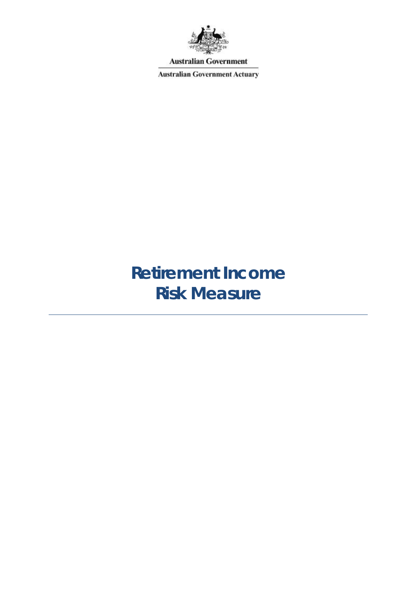

**Australian Government** 

**Australian Government Actuary** 

# **Retirement Income Risk Measure**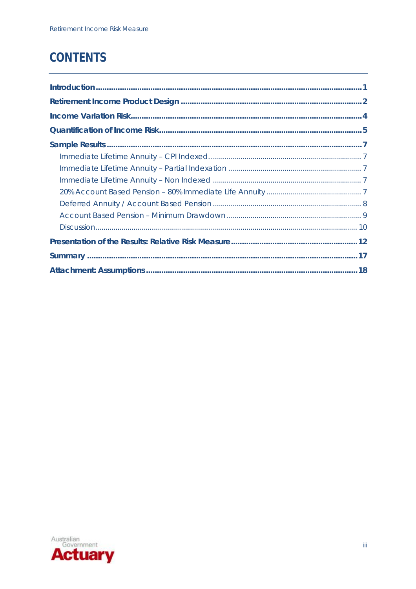## **CONTENTS**

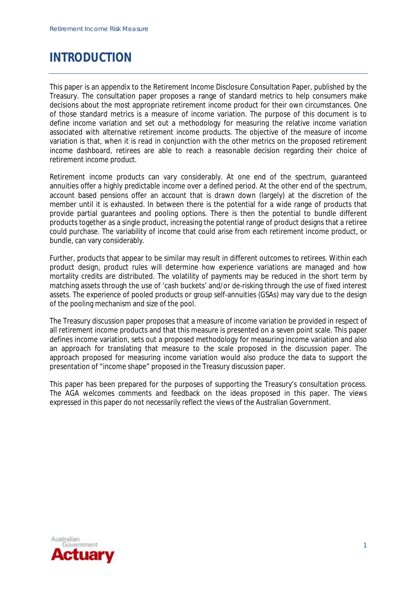### **INTRODUCTION**

This paper is an appendix to the Retirement Income Disclosure Consultation Paper, published by the Treasury. The consultation paper proposes a range of standard metrics to help consumers make decisions about the most appropriate retirement income product for their own circumstances. One of those standard metrics is a measure of income variation. The purpose of this document is to define income variation and set out a methodology for measuring the relative income variation associated with alternative retirement income products. The objective of the measure of income variation is that, when it is read in conjunction with the other metrics on the proposed retirement income dashboard, retirees are able to reach a reasonable decision regarding their choice of retirement income product.

Retirement income products can vary considerably. At one end of the spectrum, guaranteed annuities offer a highly predictable income over a defined period. At the other end of the spectrum, account based pensions offer an account that is drawn down (largely) at the discretion of the member until it is exhausted. In between there is the potential for a wide range of products that provide partial guarantees and pooling options. There is then the potential to bundle different products together as a single product, increasing the potential range of product designs that a retiree could purchase. The variability of income that could arise from each retirement income product, or bundle, can vary considerably.

Further, products that appear to be similar may result in different outcomes to retirees. Within each product design, product rules will determine how experience variations are managed and how mortality credits are distributed. The volatility of payments may be reduced in the short term by matching assets through the use of 'cash buckets' and/or de-risking through the use of fixed interest assets. The experience of pooled products or group self-annuities (GSAs) may vary due to the design of the pooling mechanism and size of the pool.

The Treasury discussion paper proposes that a measure of income variation be provided in respect of all retirement income products and that this measure is presented on a seven point scale. This paper defines income variation, sets out a proposed methodology for measuring income variation and also an approach for translating that measure to the scale proposed in the discussion paper. The approach proposed for measuring income variation would also produce the data to support the presentation of "income shape" proposed in the Treasury discussion paper.

This paper has been prepared for the purposes of supporting the Treasury's consultation process. The AGA welcomes comments and feedback on the ideas proposed in this paper. The views expressed in this paper do not necessarily reflect the views of the Australian Government.

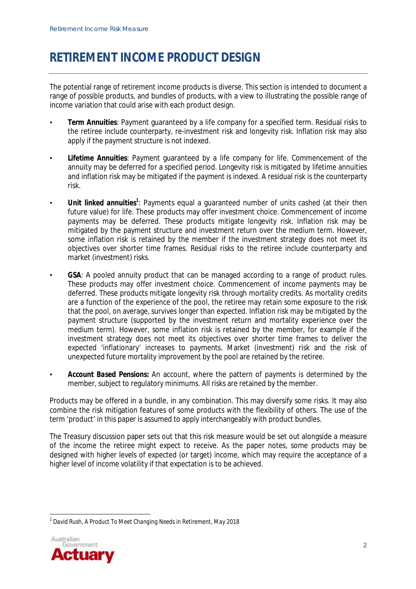### **RETIREMENT INCOME PRODUCT DESIGN**

The potential range of retirement income products is diverse. This section is intended to document a range of possible products, and bundles of products, with a view to illustrating the possible range of income variation that could arise with each product design.

- *Term Annuities*: Payment guaranteed by a life company for a specified term. Residual risks to the retiree include counterparty, re-investment risk and longevity risk. Inflation risk may also apply if the payment structure is not indexed.
- *Lifetime Annuities*: Payment guaranteed by a life company for life. Commencement of the annuity may be deferred for a specified period. Longevity risk is mitigated by lifetime annuities and inflation risk may be mitigated if the payment is indexed. A residual risk is the counterparty risk.
- *Unit linked annuities<sup>1</sup>*: Payments equal a guaranteed number of units cashed (at their then future value) for life. These products may offer investment choice. Commencement of income payments may be deferred. These products mitigate longevity risk. Inflation risk may be mitigated by the payment structure and investment return over the medium term. However, some inflation risk is retained by the member if the investment strategy does not meet its objectives over shorter time frames. Residual risks to the retiree include counterparty and market (investment) risks.
- *GSA*: A pooled annuity product that can be managed according to a range of product rules. These products may offer investment choice. Commencement of income payments may be deferred. These products mitigate longevity risk through mortality credits. As mortality credits are a function of the experience of the pool, the retiree may retain some exposure to the risk that the pool, on average, survives longer than expected. Inflation risk may be mitigated by the payment structure (supported by the investment return and mortality experience over the medium term). However, some inflation risk is retained by the member, for example if the investment strategy does not meet its objectives over shorter time frames to deliver the expected 'inflationary' increases to payments. Market (investment) risk and the risk of unexpected future mortality improvement by the pool are retained by the retiree.
- *Account Based Pensions***:** An account, where the pattern of payments is determined by the member, subject to regulatory minimums. All risks are retained by the member.

Products may be offered in a bundle, in any combination. This may diversify some risks. It may also combine the risk mitigation features of some products with the flexibility of others. The use of the term 'product' in this paper is assumed to apply interchangeably with product bundles.

The Treasury discussion paper sets out that this risk measure would be set out alongside a measure of the income the retiree might expect to receive. As the paper notes, some products may be designed with higher levels of expected (or target) income, which may require the acceptance of a higher level of income volatility if that expectation is to be achieved.

 $\overline{a}$ 1 *David Rush, A Product To Meet Changing Needs in Retirement, May 2018*

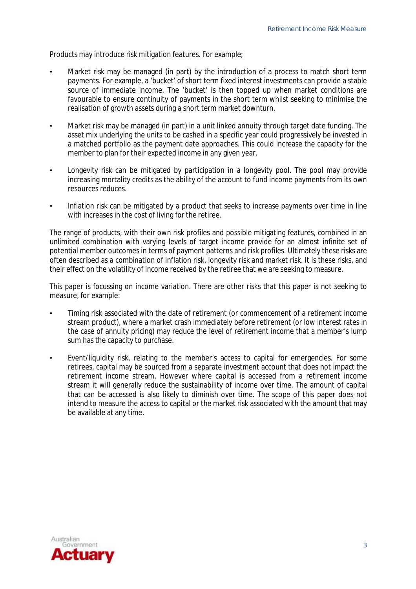Products may introduce risk mitigation features. For example;

- Market risk may be managed (in part) by the introduction of a process to match short term payments. For example, a 'bucket' of short term fixed interest investments can provide a stable source of immediate income. The 'bucket' is then topped up when market conditions are favourable to ensure continuity of payments in the short term whilst seeking to minimise the realisation of growth assets during a short term market downturn.
- Market risk may be managed (in part) in a unit linked annuity through target date funding. The asset mix underlying the units to be cashed in a specific year could progressively be invested in a matched portfolio as the payment date approaches. This could increase the capacity for the member to plan for their expected income in any given year.
- Longevity risk can be mitigated by participation in a longevity pool. The pool may provide increasing mortality credits as the ability of the account to fund income payments from its own resources reduces.
- Inflation risk can be mitigated by a product that seeks to increase payments over time in line with increases in the cost of living for the retiree.

The range of products, with their own risk profiles and possible mitigating features, combined in an unlimited combination with varying levels of target income provide for an almost infinite set of potential member outcomes in terms of payment patterns and risk profiles. Ultimately these risks are often described as a combination of inflation risk, longevity risk and market risk. It is these risks, and their effect on the volatility of income received by the retiree that we are seeking to measure.

This paper is focussing on income variation. There are other risks that this paper is not seeking to measure, for example:

- Timing risk associated with the date of retirement (or commencement of a retirement income stream product), where a market crash immediately before retirement (or low interest rates in the case of annuity pricing) may reduce the level of retirement income that a member's lump sum has the capacity to purchase.
- Event/liquidity risk, relating to the member's access to capital for emergencies. For some retirees, capital may be sourced from a separate investment account that does not impact the retirement income stream. However where capital is accessed from a retirement income stream it will generally reduce the sustainability of income over time. The amount of capital that can be accessed is also likely to diminish over time. The scope of this paper does not intend to measure the access to capital or the market risk associated with the amount that may be available at any time.

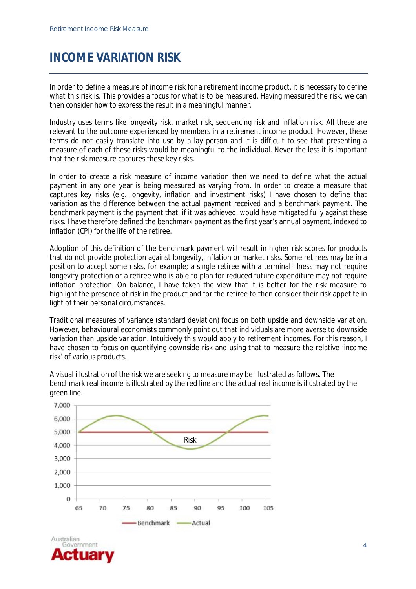### **INCOME VARIATION RISK**

In order to define a measure of income risk for a retirement income product, it is necessary to define what this risk is. This provides a focus for what is to be measured. Having measured the risk, we can then consider how to express the result in a meaningful manner.

Industry uses terms like longevity risk, market risk, sequencing risk and inflation risk. All these are relevant to the outcome experienced by members in a retirement income product. However, these terms do not easily translate into use by a lay person and it is difficult to see that presenting a measure of each of these risks would be meaningful to the individual. Never the less it is important that the risk measure captures these key risks.

In order to create a risk measure of income variation then we need to define what the actual payment in any one year is being measured as varying from. In order to create a measure that captures key risks (e.g. longevity, inflation and investment risks) I have chosen to define that variation as the difference between the actual payment received and a benchmark payment. The benchmark payment is the payment that, if it was achieved, would have mitigated fully against these risks. I have therefore defined the benchmark payment as the first year's annual payment, indexed to inflation (CPI) for the life of the retiree.

Adoption of this definition of the benchmark payment will result in higher risk scores for products that do not provide protection against longevity, inflation or market risks. Some retirees may be in a position to accept some risks, for example; a single retiree with a terminal illness may not require longevity protection or a retiree who is able to plan for reduced future expenditure may not require inflation protection. On balance, I have taken the view that it is better for the risk measure to highlight the presence of risk in the product and for the retiree to then consider their risk appetite in light of their personal circumstances.

Traditional measures of variance (standard deviation) focus on both upside and downside variation. However, behavioural economists commonly point out that individuals are more averse to downside variation than upside variation. Intuitively this would apply to retirement incomes. For this reason, I have chosen to focus on quantifying downside risk and using that to measure the relative 'income risk' of various products.

A visual illustration of the risk we are seeking to measure may be illustrated as follows. The benchmark real income is illustrated by the red line and the actual real income is illustrated by the green line.



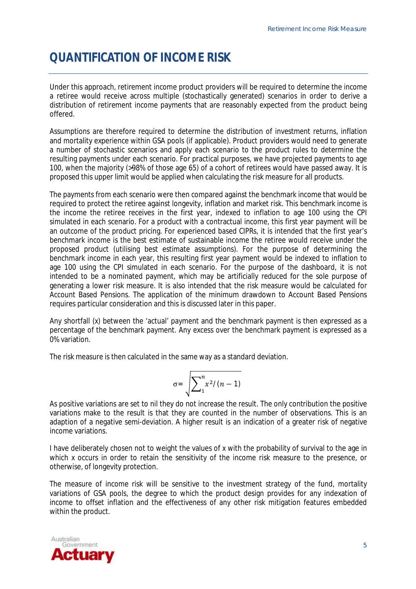## **QUANTIFICATION OF INCOME RISK**

Under this approach, retirement income product providers will be required to determine the income a retiree would receive across multiple (stochastically generated) scenarios in order to derive a distribution of retirement income payments that are reasonably expected from the product being offered.

Assumptions are therefore required to determine the distribution of investment returns, inflation and mortality experience within GSA pools (if applicable). Product providers would need to generate a number of stochastic scenarios and apply each scenario to the product rules to determine the resulting payments under each scenario. For practical purposes, we have projected payments to age 100, when the majority (>98% of those age 65) of a cohort of retirees would have passed away. It is proposed this upper limit would be applied when calculating the risk measure for all products.

The payments from each scenario were then compared against the benchmark income that would be required to protect the retiree against longevity, inflation and market risk. This benchmark income is the income the retiree receives in the first year, indexed to inflation to age 100 using the CPI simulated in each scenario. For a product with a contractual income, this first year payment will be an outcome of the product pricing. For experienced based CIPRs, it is intended that the first year's benchmark income is the best estimate of sustainable income the retiree would receive under the proposed product (utilising best estimate assumptions). For the purpose of determining the benchmark income in each year, this resulting first year payment would be indexed to inflation to age 100 using the CPI simulated in each scenario. For the purpose of the dashboard, it is not intended to be a nominated payment, which may be artificially reduced for the sole purpose of generating a lower risk measure. It is also intended that the risk measure would be calculated for Account Based Pensions. The application of the minimum drawdown to Account Based Pensions requires particular consideration and this is discussed later in this paper.

Any shortfall (*x*) between the 'actual' payment and the benchmark payment is then expressed as a percentage of the benchmark payment. Any excess over the benchmark payment is expressed as a 0% variation.

The risk measure is then calculated in the same way as a standard deviation.

$$
\sigma = \sqrt{\sum_{1}^{n} x^2/(n-1)}
$$

As positive variations are set to nil they do not increase the result. The only contribution the positive variations make to the result is that they are counted in the number of observations. This is an adaption of a negative semi-deviation. A higher result is an indication of a greater risk of negative income variations.

I have deliberately chosen not to weight the values of x with the probability of survival to the age in which *x* occurs in order to retain the sensitivity of the income risk measure to the presence, or otherwise, of longevity protection.

The measure of income risk will be sensitive to the investment strategy of the fund, mortality variations of GSA pools, the degree to which the product design provides for any indexation of income to offset inflation and the effectiveness of any other risk mitigation features embedded within the product.

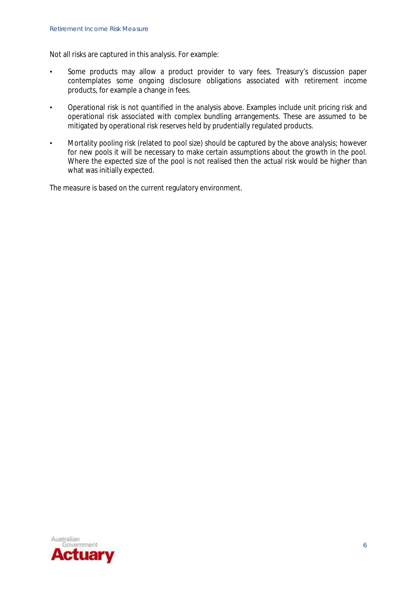Not all risks are captured in this analysis. For example:

- Some products may allow a product provider to vary fees. Treasury's discussion paper contemplates some ongoing disclosure obligations associated with retirement income products, for example a change in fees.
- Operational risk is not quantified in the analysis above. Examples include unit pricing risk and operational risk associated with complex bundling arrangements. These are assumed to be mitigated by operational risk reserves held by prudentially regulated products.
- Mortality pooling risk (related to pool size) should be captured by the above analysis; however for new pools it will be necessary to make certain assumptions about the growth in the pool. Where the expected size of the pool is not realised then the actual risk would be higher than what was initially expected.

The measure is based on the current regulatory environment.

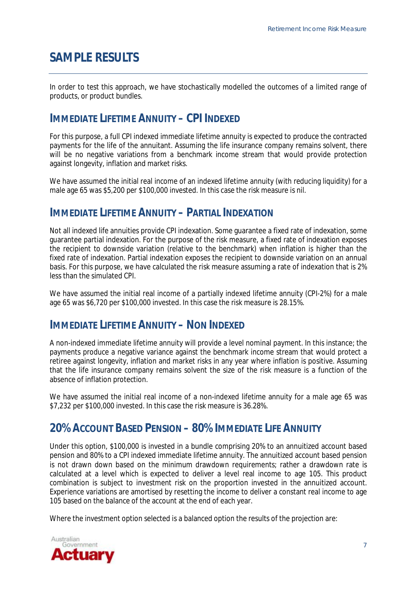## **SAMPLE RESULTS**

In order to test this approach, we have stochastically modelled the outcomes of a limited range of products, or product bundles.

### **IMMEDIATE LIFETIME ANNUITY – CPI INDEXED**

For this purpose, a full CPI indexed immediate lifetime annuity is expected to produce the contracted payments for the life of the annuitant. Assuming the life insurance company remains solvent, there will be no negative variations from a benchmark income stream that would provide protection against longevity, inflation and market risks.

We have assumed the initial real income of an indexed lifetime annuity (with reducing liquidity) for a male age 65 was \$5,200 per \$100,000 invested. In this case the risk measure is nil.

### **IMMEDIATE LIFETIME ANNUITY – PARTIAL INDEXATION**

Not all indexed life annuities provide CPI indexation. Some guarantee a fixed rate of indexation, some guarantee partial indexation. For the purpose of the risk measure, a fixed rate of indexation exposes the recipient to downside variation (relative to the benchmark) when inflation is higher than the fixed rate of indexation. Partial indexation exposes the recipient to downside variation on an annual basis. For this purpose, we have calculated the risk measure assuming a rate of indexation that is 2% less than the simulated CPI.

We have assumed the initial real income of a partially indexed lifetime annuity (CPI-2%) for a male age 65 was \$6,720 per \$100,000 invested. In this case the risk measure is 28.15%.

#### **IMMEDIATE LIFETIME ANNUITY – NON INDEXED**

A non-indexed immediate lifetime annuity will provide a level nominal payment. In this instance; the payments produce a negative variance against the benchmark income stream that would protect a retiree against longevity, inflation and market risks in any year where inflation is positive. Assuming that the life insurance company remains solvent the size of the risk measure is a function of the absence of inflation protection.

We have assumed the initial real income of a non-indexed lifetime annuity for a male age 65 was \$7,232 per \$100,000 invested. In this case the risk measure is 36.28%.

### **20% ACCOUNT BASED PENSION – 80% IMMEDIATE LIFE ANNUITY**

Under this option, \$100,000 is invested in a bundle comprising 20% to an annuitized account based pension and 80% to a CPI indexed immediate lifetime annuity. The annuitized account based pension is not drawn down based on the minimum drawdown requirements; rather a drawdown rate is calculated at a level which is expected to deliver a level real income to age 105. This product combination is subject to investment risk on the proportion invested in the annuitized account. Experience variations are amortised by resetting the income to deliver a constant real income to age 105 based on the balance of the account at the end of each year.

Where the investment option selected is a balanced option the results of the projection are:

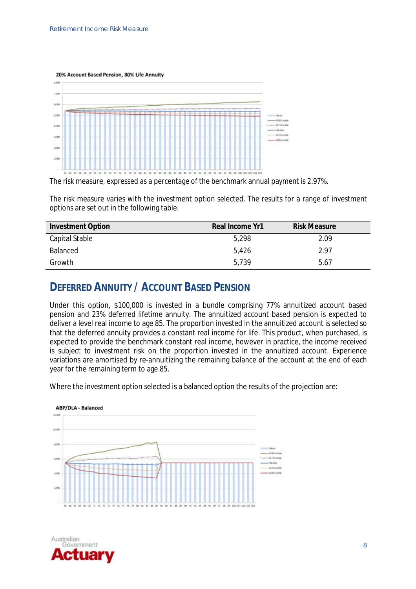20% Account Based Pension, 80% Life Annuity



The risk measure, expressed as a percentage of the benchmark annual payment is 2.97%.

The risk measure varies with the investment option selected. The results for a range of investment options are set out in the following table.

| <b>Investment Option</b> | Real Income Yr1 | <b>Risk Measure</b> |
|--------------------------|-----------------|---------------------|
| Capital Stable           | 5,298           | 2.09                |
| Balanced                 | 5.426           | 2.97                |
| Growth                   | 5.739           | 5.67                |

### **DEFERRED ANNUITY / ACCOUNT BASED PENSION**

Under this option, \$100,000 is invested in a bundle comprising 77% annuitized account based pension and 23% deferred lifetime annuity. The annuitized account based pension is expected to deliver a level real income to age 85. The proportion invested in the annuitized account is selected so that the deferred annuity provides a constant real income for life. This product, when purchased, is expected to provide the benchmark constant real income, however in practice, the income received is subject to investment risk on the proportion invested in the annuitized account. Experience variations are amortised by re-annuitizing the remaining balance of the account at the end of each year for the remaining term to age 85.

Where the investment option selected is a balanced option the results of the projection are:



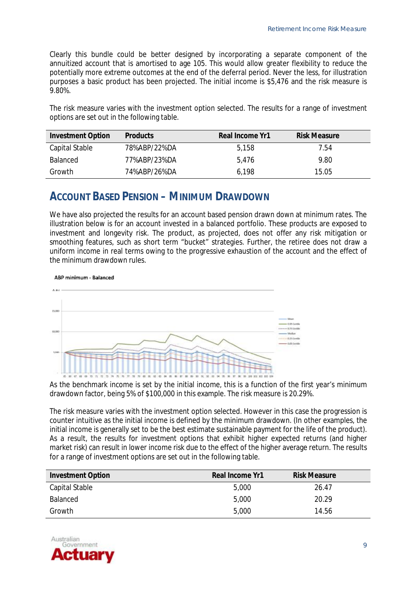Clearly this bundle could be better designed by incorporating a separate component of the annuitized account that is amortised to age 105. This would allow greater flexibility to reduce the potentially more extreme outcomes at the end of the deferral period. Never the less, for illustration purposes a basic product has been projected. The initial income is \$5,476 and the risk measure is 9.80%.

The risk measure varies with the investment option selected. The results for a range of investment options are set out in the following table.

| <b>Investment Option</b> | <b>Products</b> | Real Income Yr1 | <b>Risk Measure</b> |
|--------------------------|-----------------|-----------------|---------------------|
| Capital Stable           | 78%ABP/22%DA    | 5,158           | 7.54                |
| <b>Balanced</b>          | 77%ABP/23%DA    | 5.476           | 9.80                |
| Growth                   | 74%ABP/26%DA    | 6.198           | 15.05               |

#### **ACCOUNT BASED PENSION – MINIMUM DRAWDOWN**

We have also projected the results for an account based pension drawn down at minimum rates. The illustration below is for an account invested in a balanced portfolio. These products are exposed to investment and longevity risk. The product, as projected, does not offer any risk mitigation or smoothing features, such as short term "bucket" strategies. Further, the retiree does not draw a uniform income in real terms owing to the progressive exhaustion of the account and the effect of the minimum drawdown rules.

ABP minimum - Balanced



As the benchmark income is set by the initial income, this is a function of the first year's minimum drawdown factor, being 5% of \$100,000 in this example. The risk measure is 20.29%.

The risk measure varies with the investment option selected. However in this case the progression is counter intuitive as the initial income is defined by the minimum drawdown. (In other examples, the initial income is generally set to be the best estimate sustainable payment for the life of the product). As a result, the results for investment options that exhibit higher expected returns (and higher market risk) can result in lower income risk due to the effect of the higher average return. The results for a range of investment options are set out in the following table.

| <b>Investment Option</b> | Real Income Yr1 | <b>Risk Measure</b> |
|--------------------------|-----------------|---------------------|
| Capital Stable           | 5,000           | 26.47               |
| <b>Balanced</b>          | 5,000           | 20.29               |
| Growth                   | 5,000           | 14.56               |

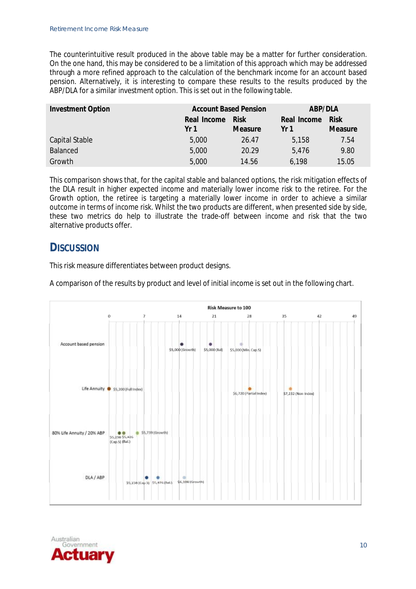The counterintuitive result produced in the above table may be a matter for further consideration. On the one hand, this may be considered to be a limitation of this approach which may be addressed through a more refined approach to the calculation of the benchmark income for an account based pension. Alternatively, it is interesting to compare these results to the results produced by the ABP/DLA for a similar investment option. This is set out in the following table.

| <b>Investment Option</b> | <b>Account Based Pension</b> |                | ABP/DLA     |             |
|--------------------------|------------------------------|----------------|-------------|-------------|
|                          | Real Income                  | <b>Risk</b>    | Real Income | <b>Risk</b> |
|                          | Yr 1                         | <b>Measure</b> | Yr 1        | Measure     |
| <b>Capital Stable</b>    | 5,000                        | 26.47          | 5,158       | 7.54        |
| <b>Balanced</b>          | 5,000                        | 20.29          | 5,476       | 9.80        |
| Growth                   | 5,000                        | 14.56          | 6,198       | 15.05       |

This comparison shows that, for the capital stable and balanced options, the risk mitigation effects of the DLA result in higher expected income and materially lower income risk to the retiree. For the Growth option, the retiree is targeting a materially lower income in order to achieve a similar outcome in terms of income risk. Whilst the two products are different, when presented side by side, these two metrics do help to illustrate the trade-off between income and risk that the two alternative products offer.

#### **DISCUSSION**

This risk measure differentiates between product designs.

A comparison of the results by product and level of initial income is set out in the following chart.



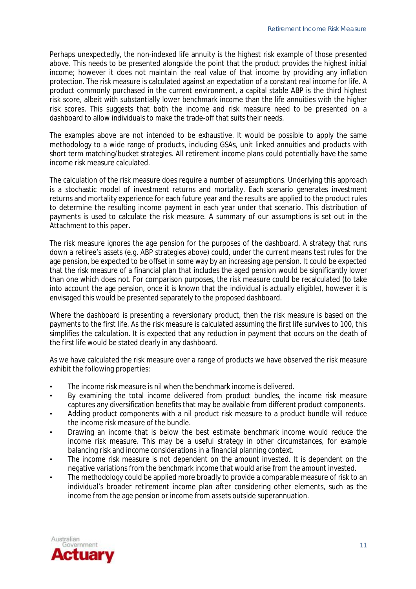Perhaps unexpectedly, the non-indexed life annuity is the highest risk example of those presented above. This needs to be presented alongside the point that the product provides the highest initial income; however it does not maintain the real value of that income by providing any inflation protection. The risk measure is calculated against an expectation of a constant real income for life. A product commonly purchased in the current environment, a capital stable ABP is the third highest risk score, albeit with substantially lower benchmark income than the life annuities with the higher risk scores. This suggests that both the income and risk measure need to be presented on a dashboard to allow individuals to make the trade-off that suits their needs.

The examples above are not intended to be exhaustive. It would be possible to apply the same methodology to a wide range of products, including GSAs, unit linked annuities and products with short term matching/bucket strategies. All retirement income plans could potentially have the same income risk measure calculated.

The calculation of the risk measure does require a number of assumptions. Underlying this approach is a stochastic model of investment returns and mortality. Each scenario generates investment returns and mortality experience for each future year and the results are applied to the product rules to determine the resulting income payment in each year under that scenario. This distribution of payments is used to calculate the risk measure. A summary of our assumptions is set out in the Attachment to this paper.

The risk measure ignores the age pension for the purposes of the dashboard. A strategy that runs down a retiree's assets (e.g. ABP strategies above) could, under the current means test rules for the age pension, be expected to be offset in some way by an increasing age pension. It could be expected that the risk measure of a financial plan that includes the aged pension would be significantly lower than one which does not. For comparison purposes, the risk measure could be recalculated (to take into account the age pension, once it is known that the individual is actually eligible), however it is envisaged this would be presented separately to the proposed dashboard.

Where the dashboard is presenting a reversionary product, then the risk measure is based on the payments to the first life. As the risk measure is calculated assuming the first life survives to 100, this simplifies the calculation. It is expected that any reduction in payment that occurs on the death of the first life would be stated clearly in any dashboard.

As we have calculated the risk measure over a range of products we have observed the risk measure exhibit the following properties:

- The income risk measure is nil when the benchmark income is delivered.
- By examining the total income delivered from product bundles, the income risk measure captures any diversification benefits that may be available from different product components.
- Adding product components with a nil product risk measure to a product bundle will reduce the income risk measure of the bundle.
- Drawing an income that is below the best estimate benchmark income would reduce the income risk measure. This may be a useful strategy in other circumstances, for example balancing risk and income considerations in a financial planning context.
- The income risk measure is not dependent on the amount invested. It is dependent on the negative variations from the benchmark income that would arise from the amount invested.
- The methodology could be applied more broadly to provide a comparable measure of risk to an individual's broader retirement income plan after considering other elements, such as the income from the age pension or income from assets outside superannuation.

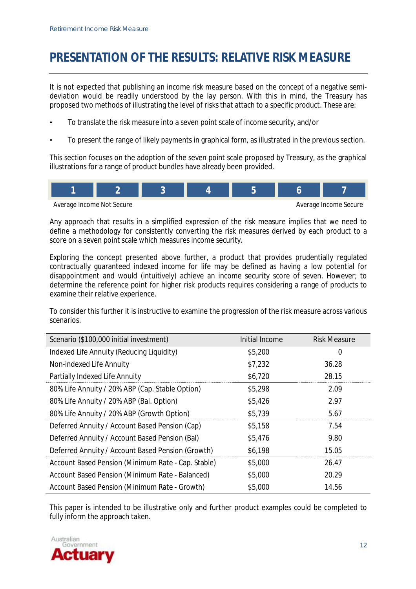## **PRESENTATION OF THE RESULTS: RELATIVE RISK MEASURE**

It is not expected that publishing an income risk measure based on the concept of a negative semideviation would be readily understood by the lay person. With this in mind, the Treasury has proposed two methods of illustrating the level of risks that attach to a specific product. These are:

- To translate the risk measure into a seven point scale of income security, and/or
- To present the range of likely payments in graphical form, as illustrated in the previous section.

This section focuses on the adoption of the seven point scale proposed by Treasury, as the graphical illustrations for a range of product bundles have already been provided.



Any approach that results in a simplified expression of the risk measure implies that we need to define a methodology for consistently converting the risk measures derived by each product to a score on a seven point scale which measures income security.

Exploring the concept presented above further, a product that provides prudentially regulated contractually guaranteed indexed income for life may be defined as having a low potential for disappointment and would (intuitively) achieve an income security score of seven. However; to determine the reference point for higher risk products requires considering a range of products to examine their relative experience.

To consider this further it is instructive to examine the progression of the risk measure across various scenarios.

| Scenario (\$100,000 initial investment)            | Initial Income | <b>Risk Measure</b> |
|----------------------------------------------------|----------------|---------------------|
| Indexed Life Annuity (Reducing Liquidity)          | \$5,200        | 0                   |
| Non-indexed Life Annuity                           | \$7,232        | 36.28               |
| <b>Partially Indexed Life Annuity</b>              | \$6,720        | 28.15               |
| 80% Life Annuity / 20% ABP (Cap. Stable Option)    | \$5,298        | 2.09                |
| 80% Life Annuity / 20% ABP (Bal. Option)           | \$5,426        | 2.97                |
| 80% Life Annuity / 20% ABP (Growth Option)         | \$5,739        | 5.67                |
| Deferred Annuity / Account Based Pension (Cap)     | \$5,158        | 7.54                |
| Deferred Annuity / Account Based Pension (Bal)     | \$5,476        | 9.80                |
| Deferred Annuity / Account Based Pension (Growth)  | \$6,198        | 15.05               |
| Account Based Pension (Minimum Rate - Cap. Stable) | \$5,000        | 26.47               |
| Account Based Pension (Minimum Rate - Balanced)    | \$5,000        | 20.29               |
| Account Based Pension (Minimum Rate - Growth)      | \$5,000        | 14.56               |

This paper is intended to be illustrative only and further product examples could be completed to fully inform the approach taken.

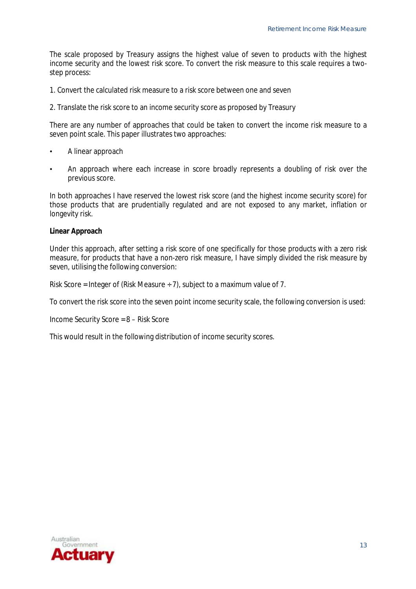The scale proposed by Treasury assigns the highest value of seven to products with the highest income security and the lowest risk score. To convert the risk measure to this scale requires a twostep process:

1. Convert the calculated risk measure to a risk score between one and seven

2. Translate the risk score to an income security score as proposed by Treasury

There are any number of approaches that could be taken to convert the income risk measure to a seven point scale. This paper illustrates two approaches:

- A linear approach
- An approach where each increase in score broadly represents a doubling of risk over the previous score.

In both approaches I have reserved the lowest risk score (and the highest income security score) for those products that are prudentially regulated and are not exposed to any market, inflation or longevity risk.

**Linear Approach**

Under this approach, after setting a risk score of one specifically for those products with a zero risk measure, for products that have a non-zero risk measure, I have simply divided the risk measure by seven, utilising the following conversion:

Risk Score = Integer of (Risk Measure  $\div$  7), subject to a maximum value of 7.

To convert the risk score into the seven point income security scale, the following conversion is used:

Income Security Score = 8 – Risk Score

This would result in the following distribution of income security scores.

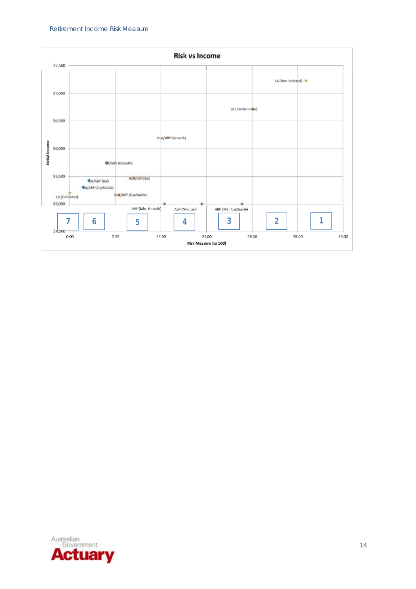

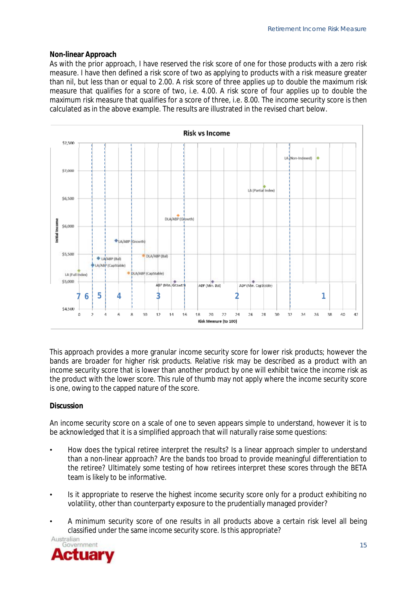#### **Non-linear Approach**

As with the prior approach, I have reserved the risk score of one for those products with a zero risk measure. I have then defined a risk score of two as applying to products with a risk measure greater than nil, but less than or equal to 2.00. A risk score of three applies up to double the maximum risk measure that qualifies for a score of two, i.e. 4.00. A risk score of four applies up to double the maximum risk measure that qualifies for a score of three, i.e. 8.00. The income security score is then calculated as in the above example. The results are illustrated in the revised chart below.



This approach provides a more granular income security score for lower risk products; however the bands are broader for higher risk products. Relative risk may be described as a product with an income security score that is lower than another product by one will exhibit twice the income risk as the product with the lower score. This rule of thumb may not apply where the income security score is one, owing to the capped nature of the score.

#### **Discussion**

An income security score on a scale of one to seven appears simple to understand, however it is to be acknowledged that it is a simplified approach that will naturally raise some questions:

- How does the typical retiree interpret the results? Is a linear approach simpler to understand than a non-linear approach? Are the bands too broad to provide meaningful differentiation to the retiree? Ultimately some testing of how retirees interpret these scores through the BETA team is likely to be informative.
- Is it appropriate to reserve the highest income security score only for a product exhibiting no volatility, other than counterparty exposure to the prudentially managed provider?
- A minimum security score of one results in all products above a certain risk level all being classified under the same income security score. Is this appropriate?

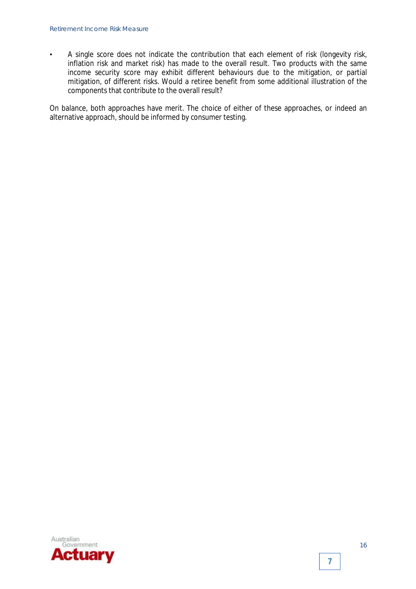• A single score does not indicate the contribution that each element of risk (longevity risk, inflation risk and market risk) has made to the overall result. Two products with the same income security score may exhibit different behaviours due to the mitigation, or partial mitigation, of different risks. Would a retiree benefit from some additional illustration of the components that contribute to the overall result?

On balance, both approaches have merit. The choice of either of these approaches, or indeed an alternative approach, should be informed by consumer testing.



**7**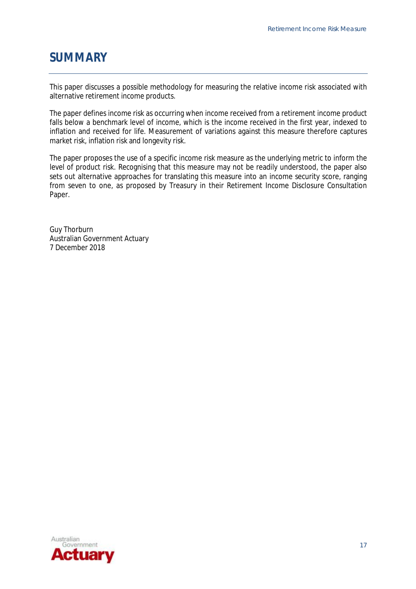### **SUMMARY**

This paper discusses a possible methodology for measuring the relative income risk associated with alternative retirement income products.

The paper defines income risk as occurring when income received from a retirement income product falls below a benchmark level of income, which is the income received in the first year, indexed to inflation and received for life. Measurement of variations against this measure therefore captures market risk, inflation risk and longevity risk.

The paper proposes the use of a specific income risk measure as the underlying metric to inform the level of product risk. Recognising that this measure may not be readily understood, the paper also sets out alternative approaches for translating this measure into an income security score, ranging from seven to one, as proposed by Treasury in their Retirement Income Disclosure Consultation Paper.

Guy Thorburn Australian Government Actuary 7 December 2018